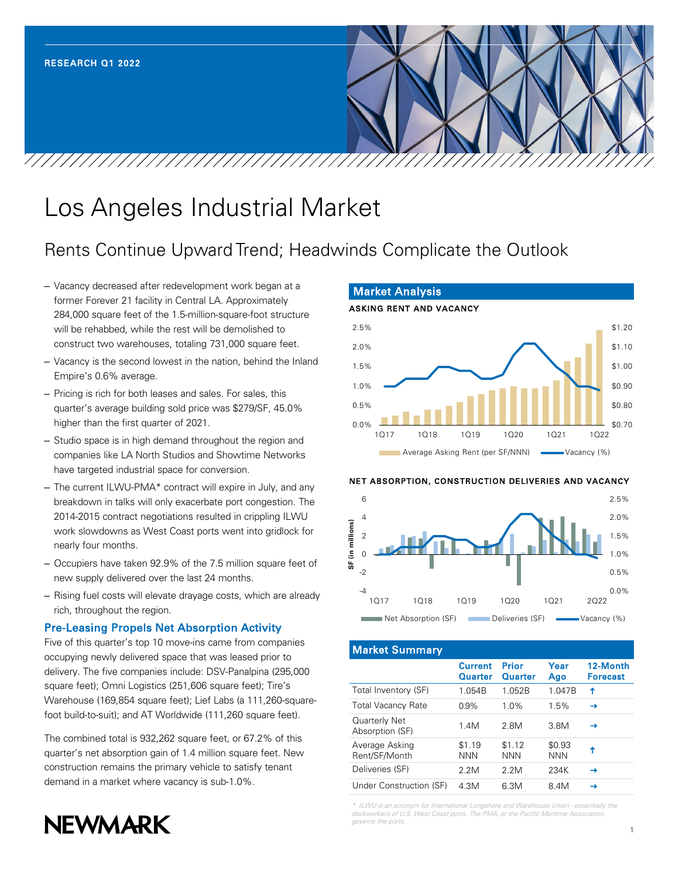

# Los Angeles Industrial Market

## Rents Continue Upward Trend; Headwinds Complicate the Outlook

- Vacancy decreased after redevelopment work began at a former Forever 21 facility in Central LA. Approximately 284,000 square feet of the 1.5-million-square-foot structure will be rehabbed, while the rest will be demolished to construct two warehouses, totaling 731,000 square feet.
- Vacancy is the second lowest in the nation, behind the Inland Empire's 0.6% average.
- Pricing is rich for both leases and sales. For sales, this quarter's average building sold price was \$279/SF, 45.0% higher than the first quarter of 2021.
- Studio space is in high demand throughout the region and companies like LA North Studios and Showtime Networks have targeted industrial space for conversion.
- The current ILWU-PMA\* contract will expire in July, and any breakdown in talks will only exacerbate port congestion. The 2014-2015 contract negotiations resulted in crippling ILWU work slowdowns as West Coast ports went into gridlock for nearly four months.
- Occupiers have taken 92.9% of the 7.5 million square feet of new supply delivered over the last 24 months.
- Rising fuel costs will elevate drayage costs, which are already rich, throughout the region.

#### Pre-Leasing Propels Net Absorption Activity

Five of this quarter's top 10 move-ins came from companies occupying newly delivered space that was leased prior to delivery. The five companies include: DSV-Panalpina (295,000 square feet); Omni Logistics (251,606 square feet); Tire's Warehouse (169,854 square feet); Lief Labs (a 111,260-squarefoot build-to-suit); and AT Worldwide (111,260 square feet).

The combined total is 932,262 square feet, or 67.2% of this quarter's net absorption gain of 1.4 million square feet. New construction remains the primary vehicle to satisfy tenant demand in a market where vacancy is sub-1.0%.



#### NET ABSORPTION, CONSTRUCTION DELIVERIES AND VACANCY



#### Market Summary

|                                  | <b>Current</b><br><b>Quarter</b> | Prior<br><b>Quarter</b> | Year<br>Ago          | 12-Month<br><b>Forecast</b> |
|----------------------------------|----------------------------------|-------------------------|----------------------|-----------------------------|
| Total Inventory (SF)             | 1.054B                           | 1.052B                  | 1.047B               | ↑                           |
| <b>Total Vacancy Rate</b>        | $0.9\%$                          | 1.0%                    | 1.5%                 | $\rightarrow$               |
| Quarterly Net<br>Absorption (SF) | 1.4M                             | 2 8M                    | 3.8M                 | →                           |
| Average Asking<br>Rent/SF/Month  | \$1.19<br><b>NNN</b>             | \$1.12<br><b>NNN</b>    | \$0.93<br><b>NNN</b> | ↑                           |
| Deliveries (SF)                  | 2.2M                             | 2.2M                    | 234K                 | →                           |
| Under Construction (SF)          | 4.3M                             | 6.3M                    | 8.4M                 | →                           |

\* ILWU is an acronym for International Longshore and Warehouse Union - essentially the dockworkers of U.S. West Coast ports. The PMA, or the Pacific Maritime Association, governs the ports.

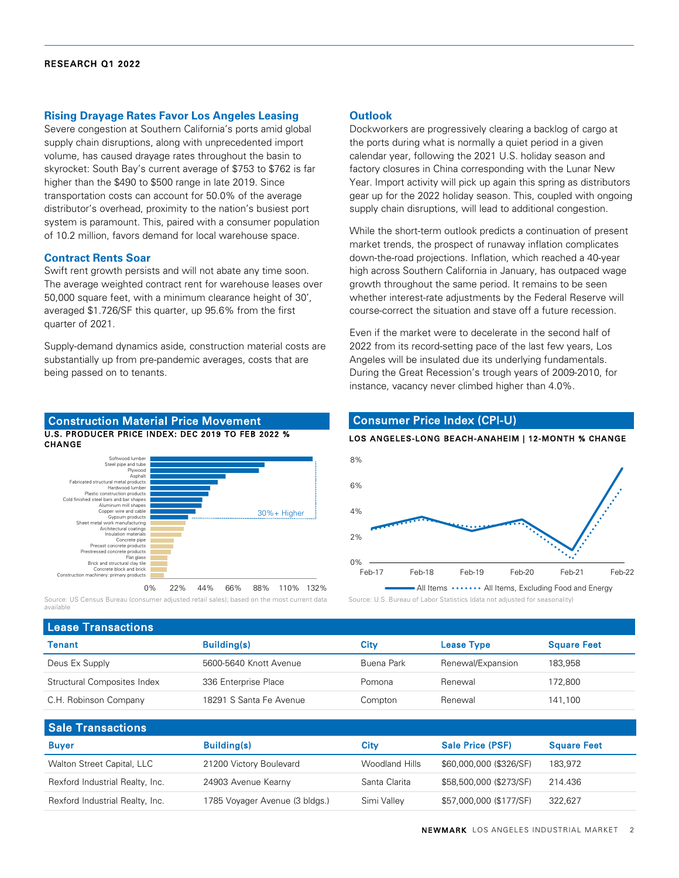#### **Rising Drayage Rates Favor Los Angeles Leasing**

Severe congestion at Southern California's ports amid global supply chain disruptions, along with unprecedented import volume, has caused drayage rates throughout the basin to skyrocket: South Bay's current average of \$753 to \$762 is far higher than the \$490 to \$500 range in late 2019. Since transportation costs can account for 50.0% of the average distributor's overhead, proximity to the nation's busiest port system is paramount. This, paired with a consumer population of 10.2 million, favors demand for local warehouse space.

#### **Contract Rents Soar**

Swift rent growth persists and will not abate any time soon. The average weighted contract rent for warehouse leases over 50,000 square feet, with a minimum clearance height of 30', averaged \$1.726/SF this quarter, up 95.6% from the first quarter of 2021.

Supply-demand dynamics aside, construction material costs are substantially up from pre-pandemic averages, costs that are being passed on to tenants.

#### U.S. PRODUCER PRICE INDEX: DEC 2019 TO FEB 2022 % CHANGE Construction Material Price Movement



Source: US Census Bureau (consumer adjusted retail sales); based on the most current data available

#### **Outlook**

Dockworkers are progressively clearing a backlog of cargo at the ports during what is normally a quiet period in a given calendar year, following the 2021 U.S. holiday season and factory closures in China corresponding with the Lunar New Year. Import activity will pick up again this spring as distributors gear up for the 2022 holiday season. This, coupled with ongoing supply chain disruptions, will lead to additional congestion.

While the short-term outlook predicts a continuation of present market trends, the prospect of runaway inflation complicates down-the-road projections. Inflation, which reached a 40-year high across Southern California in January, has outpaced wage growth throughout the same period. It remains to be seen whether interest-rate adjustments by the Federal Reserve will course-correct the situation and stave off a future recession.

Even if the market were to decelerate in the second half of 2022 from its record-setting pace of the last few years, Los Angeles will be insulated due its underlying fundamentals. During the Great Recession's trough years of 2009-2010, for instance, vacancy never climbed higher than 4.0%.



#### Source: U.S. Bureau of Labor Statistics (data not adjusted for seasonality)

| <b>Lease Transactions</b>   |                         |            |                   |                    |  |  |  |  |
|-----------------------------|-------------------------|------------|-------------------|--------------------|--|--|--|--|
| <b>Tenant</b>               | <b>Building(s)</b>      | Citv       | <b>Lease Type</b> | <b>Square Feet</b> |  |  |  |  |
| Deus Ex Supply              | 5600-5640 Knott Avenue  | Buena Park | Renewal/Expansion | 183.958            |  |  |  |  |
| Structural Composites Index | 336 Enterprise Place    | Pomona     | Renewal           | 172.800            |  |  |  |  |
| C.H. Robinson Company       | 18291 S Santa Fe Avenue | Compton    | Renewal           | 141,100            |  |  |  |  |
|                             |                         |            |                   |                    |  |  |  |  |

| <b>Sale Transactions</b>        |                                |                |                         |                    |  |  |  |  |  |
|---------------------------------|--------------------------------|----------------|-------------------------|--------------------|--|--|--|--|--|
| <b>Buyer</b>                    | <b>Building(s)</b>             | Citv           | <b>Sale Price (PSF)</b> | <b>Square Feet</b> |  |  |  |  |  |
| Walton Street Capital, LLC      | 21200 Victory Boulevard        | Woodland Hills | \$60,000,000 (\$326/SF) | 183,972            |  |  |  |  |  |
| Rexford Industrial Realty, Inc. | 24903 Avenue Kearny            | Santa Clarita  | \$58,500,000 (\$273/SF) | 214.436            |  |  |  |  |  |
| Rexford Industrial Realty, Inc. | 1785 Voyager Avenue (3 bldgs.) | Simi Valley    | \$57,000,000 (\$177/SF) | 322,627            |  |  |  |  |  |

### Consumer Price Index (CPI-U)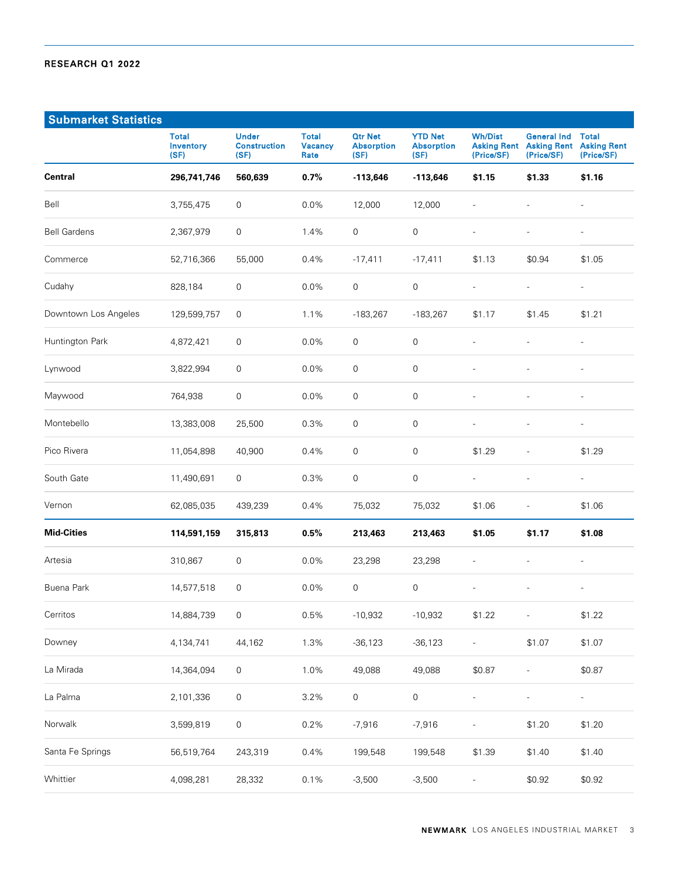| <b>Submarket Statistics</b> |                                          |                                             |                                        |                                             |                                             |                              |                                                                    |                                                  |
|-----------------------------|------------------------------------------|---------------------------------------------|----------------------------------------|---------------------------------------------|---------------------------------------------|------------------------------|--------------------------------------------------------------------|--------------------------------------------------|
|                             | <b>Total</b><br><b>Inventory</b><br>(SF) | <b>Under</b><br><b>Construction</b><br>(SF) | <b>Total</b><br><b>Vacancy</b><br>Rate | <b>Qtr Net</b><br><b>Absorption</b><br>(SF) | <b>YTD Net</b><br><b>Absorption</b><br>(SF) | <b>Wh/Dist</b><br>(Price/SF) | <b>General Ind</b><br><b>Asking Rent Asking Rent</b><br>(Price/SF) | <b>Total</b><br><b>Asking Rent</b><br>(Price/SF) |
| Central                     | 296,741,746                              | 560,639                                     | 0.7%                                   | $-113,646$                                  | $-113,646$                                  | \$1.15                       | \$1.33                                                             | \$1.16                                           |
| Bell                        | 3,755,475                                | $\mathsf{O}\xspace$                         | 0.0%                                   | 12,000                                      | 12,000                                      |                              | $\overline{a}$                                                     |                                                  |
| <b>Bell Gardens</b>         | 2,367,979                                | $\mathsf{O}\xspace$                         | 1.4%                                   | 0                                           | 0                                           |                              | $\overline{a}$                                                     | $\overline{a}$                                   |
| Commerce                    | 52,716,366                               | 55,000                                      | 0.4%                                   | $-17,411$                                   | $-17,411$                                   | \$1.13                       | \$0.94                                                             | \$1.05                                           |
| Cudahy                      | 828,184                                  | $\mathsf{O}\xspace$                         | 0.0%                                   | 0                                           | 0                                           | $\overline{a}$               | $\overline{\phantom{a}}$                                           | $\overline{\phantom{a}}$                         |
| Downtown Los Angeles        | 129,599,757                              | 0                                           | 1.1%                                   | $-183,267$                                  | $-183,267$                                  | \$1.17                       | \$1.45                                                             | \$1.21                                           |
| Huntington Park             | 4,872,421                                | $\mathbf 0$                                 | 0.0%                                   | 0                                           | 0                                           | $\overline{a}$               | $\overline{a}$                                                     | $\overline{a}$                                   |
| Lynwood                     | 3,822,994                                | $\mathbf 0$                                 | 0.0%                                   | 0                                           | 0                                           | $\overline{a}$               | $\overline{a}$                                                     | $\overline{a}$                                   |
| Maywood                     | 764,938                                  | $\mathsf{O}\xspace$                         | 0.0%                                   | 0                                           | 0                                           | $\overline{a}$               | $\overline{a}$                                                     | $\overline{a}$                                   |
| Montebello                  | 13,383,008                               | 25,500                                      | 0.3%                                   | 0                                           | $\mathbf 0$                                 | $\overline{a}$               | $\overline{a}$                                                     | $\overline{a}$                                   |
| Pico Rivera                 | 11,054,898                               | 40,900                                      | 0.4%                                   | 0                                           | 0                                           | \$1.29                       | L,                                                                 | \$1.29                                           |
| South Gate                  | 11,490,691                               | 0                                           | 0.3%                                   | 0                                           | $\mathbf 0$                                 | $\overline{\phantom{a}}$     | $\overline{\phantom{a}}$                                           | $\overline{a}$                                   |
| Vernon                      | 62,085,035                               | 439,239                                     | 0.4%                                   | 75,032                                      | 75,032                                      | \$1.06                       | $\overline{\phantom{m}}$                                           | \$1.06                                           |
| <b>Mid-Cities</b>           | 114,591,159                              | 315,813                                     | 0.5%                                   | 213,463                                     | 213,463                                     | \$1.05                       | \$1.17                                                             | \$1.08                                           |
| Artesia                     | 310,867                                  | 0                                           | 0.0%                                   | 23,298                                      | 23,298                                      |                              |                                                                    |                                                  |
| Buena Park                  | 14,577,518                               | $\mathbf 0$                                 | 0.0%                                   | 0                                           | 0                                           | $\overline{a}$               |                                                                    |                                                  |
| Cerritos                    | 14,884,739                               | $\mathsf{O}\xspace$                         | 0.5%                                   | $-10,932$                                   | $-10,932$                                   | \$1.22                       | $\overline{a}$                                                     | \$1.22                                           |
| Downey                      | 4,134,741                                | 44,162                                      | 1.3%                                   | $-36,123$                                   | $-36,123$                                   | $\overline{\phantom{a}}$     | \$1.07                                                             | \$1.07                                           |
| La Mirada                   | 14,364,094                               | $\mathsf{O}\xspace$                         | 1.0%                                   | 49,088                                      | 49,088                                      | \$0.87                       |                                                                    | \$0.87                                           |
| La Palma                    | 2,101,336                                | $\mathsf{O}\xspace$                         | 3.2%                                   | 0                                           | $\mathsf{O}\xspace$                         | $\overline{\phantom{a}}$     | $\overline{a}$                                                     | $\frac{1}{2}$                                    |
| Norwalk                     | 3,599,819                                | $\mathsf{O}\xspace$                         | 0.2%                                   | $-7,916$                                    | $-7,916$                                    |                              | \$1.20                                                             | \$1.20                                           |
| Santa Fe Springs            | 56,519,764                               | 243,319                                     | 0.4%                                   | 199,548                                     | 199,548                                     | \$1.39                       | \$1.40                                                             | \$1.40                                           |
| Whittier                    | 4,098,281                                | 28,332                                      | 0.1%                                   | $-3,500$                                    | $-3,500$                                    | $\overline{\phantom{a}}$     | \$0.92                                                             | \$0.92                                           |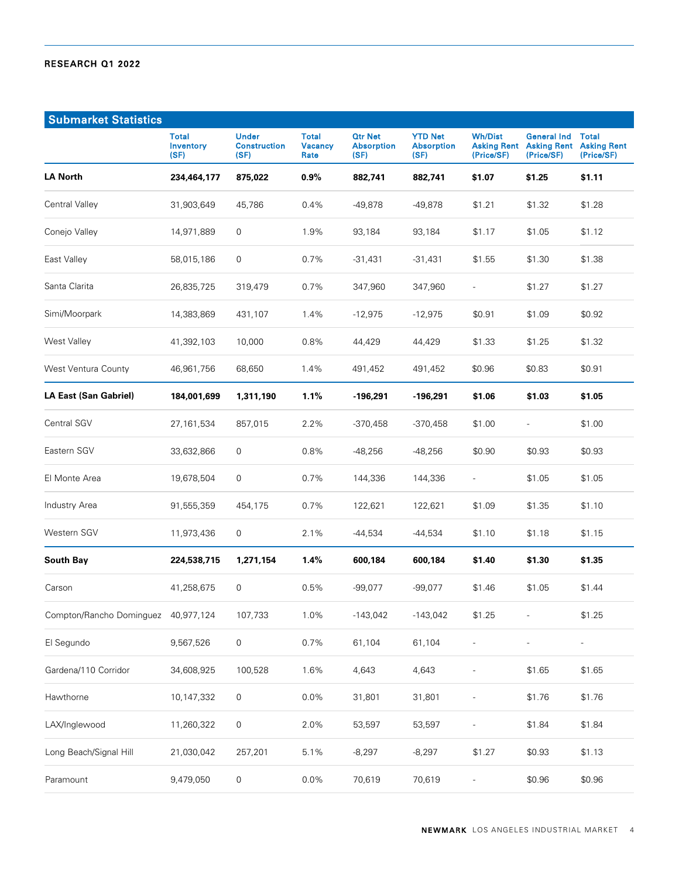| <b>Submarket Statistics</b>         |                                          |                                             |                                        |                                             |                                             |                              |                                                                    |                                                  |
|-------------------------------------|------------------------------------------|---------------------------------------------|----------------------------------------|---------------------------------------------|---------------------------------------------|------------------------------|--------------------------------------------------------------------|--------------------------------------------------|
|                                     | <b>Total</b><br><b>Inventory</b><br>(SF) | <b>Under</b><br><b>Construction</b><br>(SF) | <b>Total</b><br><b>Vacancy</b><br>Rate | <b>Qtr Net</b><br><b>Absorption</b><br>(SF) | <b>YTD Net</b><br><b>Absorption</b><br>(SF) | <b>Wh/Dist</b><br>(Price/SF) | <b>General Ind</b><br><b>Asking Rent Asking Rent</b><br>(Price/SF) | <b>Total</b><br><b>Asking Rent</b><br>(Price/SF) |
| <b>LA North</b>                     | 234,464,177                              | 875,022                                     | $0.9\%$                                | 882,741                                     | 882,741                                     | \$1.07                       | \$1.25                                                             | \$1.11                                           |
| Central Valley                      | 31,903,649                               | 45,786                                      | 0.4%                                   | $-49,878$                                   | $-49,878$                                   | \$1.21                       | \$1.32                                                             | \$1.28                                           |
| Conejo Valley                       | 14,971,889                               | 0                                           | 1.9%                                   | 93,184                                      | 93,184                                      | \$1.17                       | \$1.05                                                             | \$1.12                                           |
| East Valley                         | 58,015,186                               | 0                                           | 0.7%                                   | $-31,431$                                   | -31,431                                     | \$1.55                       | \$1.30                                                             | \$1.38                                           |
| Santa Clarita                       | 26,835,725                               | 319,479                                     | 0.7%                                   | 347,960                                     | 347,960                                     | $\overline{\phantom{0}}$     | \$1.27                                                             | \$1.27                                           |
| Simi/Moorpark                       | 14,383,869                               | 431,107                                     | 1.4%                                   | $-12,975$                                   | $-12,975$                                   | \$0.91                       | \$1.09                                                             | \$0.92                                           |
| West Valley                         | 41,392,103                               | 10,000                                      | 0.8%                                   | 44,429                                      | 44,429                                      | \$1.33                       | \$1.25                                                             | \$1.32                                           |
| West Ventura County                 | 46,961,756                               | 68,650                                      | 1.4%                                   | 491,452                                     | 491,452                                     | \$0.96                       | \$0.83                                                             | \$0.91                                           |
| LA East (San Gabriel)               | 184,001,699                              | 1,311,190                                   | 1.1%                                   | -196,291                                    | -196,291                                    | \$1.06                       | \$1.03                                                             | \$1.05                                           |
| <b>Central SGV</b>                  | 27,161,534                               | 857,015                                     | 2.2%                                   | $-370,458$                                  | $-370,458$                                  | \$1.00                       | $\overline{\phantom{0}}$                                           | \$1.00                                           |
| Eastern SGV                         | 33,632,866                               | 0                                           | 0.8%                                   | $-48,256$                                   | $-48,256$                                   | \$0.90                       | \$0.93                                                             | \$0.93                                           |
| El Monte Area                       | 19,678,504                               | 0                                           | 0.7%                                   | 144,336                                     | 144,336                                     | $\overline{\phantom{a}}$     | \$1.05                                                             | \$1.05                                           |
| Industry Area                       | 91,555,359                               | 454,175                                     | 0.7%                                   | 122,621                                     | 122,621                                     | \$1.09                       | \$1.35                                                             | \$1.10                                           |
| Western SGV                         | 11,973,436                               | 0                                           | 2.1%                                   | -44,534                                     | $-44,534$                                   | \$1.10                       | \$1.18                                                             | \$1.15                                           |
| South Bay                           | 224,538,715                              | 1,271,154                                   | 1.4%                                   | 600,184                                     | 600,184                                     | \$1.40                       | \$1.30                                                             | \$1.35                                           |
| Carson                              | 41,258,675                               | 0                                           | 0.5%                                   | $-99,077$                                   | $-99,077$                                   | \$1.46                       | \$1.05                                                             | \$1.44                                           |
| Compton/Rancho Dominguez 40,977,124 |                                          | 107,733                                     | 1.0%                                   | $-143,042$                                  | $-143,042$                                  | \$1.25                       |                                                                    | \$1.25                                           |
| El Segundo                          | 9,567,526                                | $\mathsf{O}\xspace$                         | 0.7%                                   | 61,104                                      | 61,104                                      | $\overline{\phantom{a}}$     | $\overline{a}$                                                     | $\overline{\phantom{a}}$                         |
| Gardena/110 Corridor                | 34,608,925                               | 100,528                                     | 1.6%                                   | 4,643                                       | 4,643                                       | $\overline{a}$               | \$1.65                                                             | \$1.65                                           |
| Hawthorne                           | 10,147,332                               | $\mathsf{O}\xspace$                         | $0.0\%$                                | 31,801                                      | 31,801                                      |                              | \$1.76                                                             | \$1.76                                           |
| LAX/Inglewood                       | 11,260,322                               | $\mathsf{O}\xspace$                         | 2.0%                                   | 53,597                                      | 53,597                                      |                              | \$1.84                                                             | \$1.84                                           |
| Long Beach/Signal Hill              | 21,030,042                               | 257,201                                     | 5.1%                                   | $-8,297$                                    | $-8,297$                                    | \$1.27                       | \$0.93                                                             | \$1.13                                           |
| Paramount                           | 9,479,050                                | $\mathsf{O}\xspace$                         | $0.0\%$                                | 70,619                                      | 70,619                                      | $\overline{\phantom{m}}$     | \$0.96                                                             | \$0.96                                           |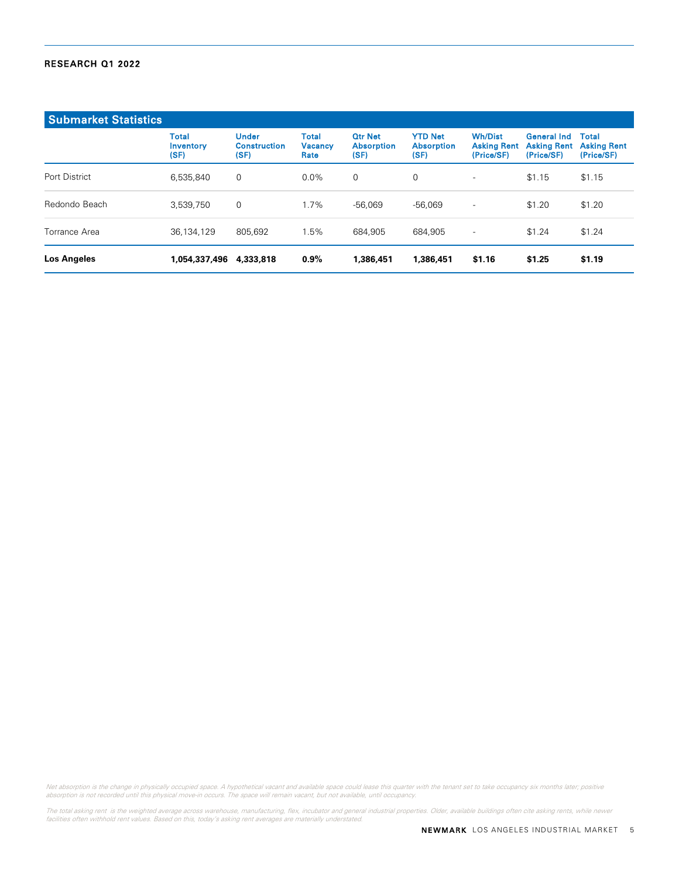| <b>Submarket Statistics</b> |                                   |                                             |                                        |                                             |                                             |                                                    |                                                        |                                           |
|-----------------------------|-----------------------------------|---------------------------------------------|----------------------------------------|---------------------------------------------|---------------------------------------------|----------------------------------------------------|--------------------------------------------------------|-------------------------------------------|
|                             | <b>Total</b><br>Inventory<br>(SF) | <b>Under</b><br><b>Construction</b><br>(SF) | <b>Total</b><br><b>Vacancy</b><br>Rate | <b>Otr Net</b><br><b>Absorption</b><br>(SF) | <b>YTD Net</b><br><b>Absorption</b><br>(SF) | <b>Wh/Dist</b><br><b>Asking Rent</b><br>(Price/SF) | <b>General Ind</b><br><b>Asking Rent</b><br>(Price/SF) | Total<br><b>Asking Rent</b><br>(Price/SF) |
| Port District               | 6,535,840                         | 0                                           | $0.0\%$                                | $\mathbf 0$                                 | 0                                           | $\overline{\phantom{a}}$                           | \$1.15                                                 | \$1.15                                    |
| Redondo Beach               | 3,539,750                         | 0                                           | 1.7%                                   | $-56.069$                                   | $-56.069$                                   | $\overline{\phantom{a}}$                           | \$1.20                                                 | \$1.20                                    |
| Torrance Area               | 36,134,129                        | 805.692                                     | 1.5%                                   | 684.905                                     | 684.905                                     | $\overline{\phantom{a}}$                           | \$1.24                                                 | \$1.24                                    |
| <b>Los Angeles</b>          | 1,054,337,496                     | 4,333,818                                   | $0.9\%$                                | 1,386,451                                   | 1,386,451                                   | \$1.16                                             | \$1.25                                                 | \$1.19                                    |

Net absorption is the change in physically occupied space. A hypothetical vacant and available space could lease this quarter with the tenant set to take occupancy six months later; positive<br>absorption is not recorded unti

The total asking rent is the weighted average across warehouse, manufacturing, flex, incubator and general industrial properties. Older, available buildings often cite asking rents, while newer<br>facilities often withhold re